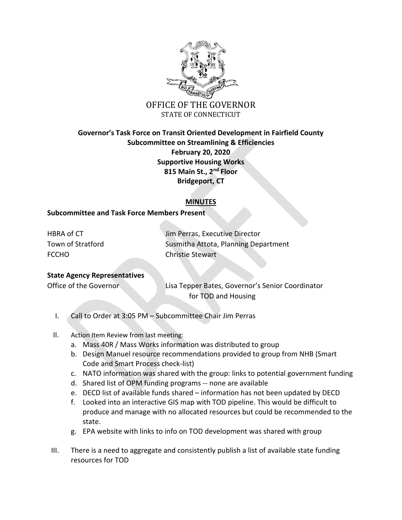

## **Governor's Task Force on Transit Oriented Development in Fairfield County Subcommittee on Streamlining & Efficiencies February 20, 2020 Supportive Housing Works 815 Main St., 2nd Floor Bridgeport, CT**

## **MINUTES**

## **Subcommittee and Task Force Members Present**

FCCHO Christie Stewart

HBRA of CT **Internal CT** Jim Perras, Executive Director Town of Stratford **Susmitha Attota, Planning Department** 

## **State Agency Representatives**

Office of the Governor Lisa Tepper Bates, Governor's Senior Coordinator for TOD and Housing

- I. Call to Order at 3:05 PM Subcommittee Chair Jim Perras
- II. Action Item Review from last meeting:
	- a. Mass 40R / Mass Works information was distributed to group
	- b. Design Manuel resource recommendations provided to group from NHB (Smart Code and Smart Process check-list)
	- c. NATO information was shared with the group: links to potential government funding
	- d. Shared list of OPM funding programs -- none are available
	- e. DECD list of available funds shared information has not been updated by DECD
	- f. Looked into an interactive GIS map with TOD pipeline. This would be difficult to produce and manage with no allocated resources but could be recommended to the state.
	- g. EPA website with links to info on TOD development was shared with group
- III. There is a need to aggregate and consistently publish a list of available state funding resources for TOD